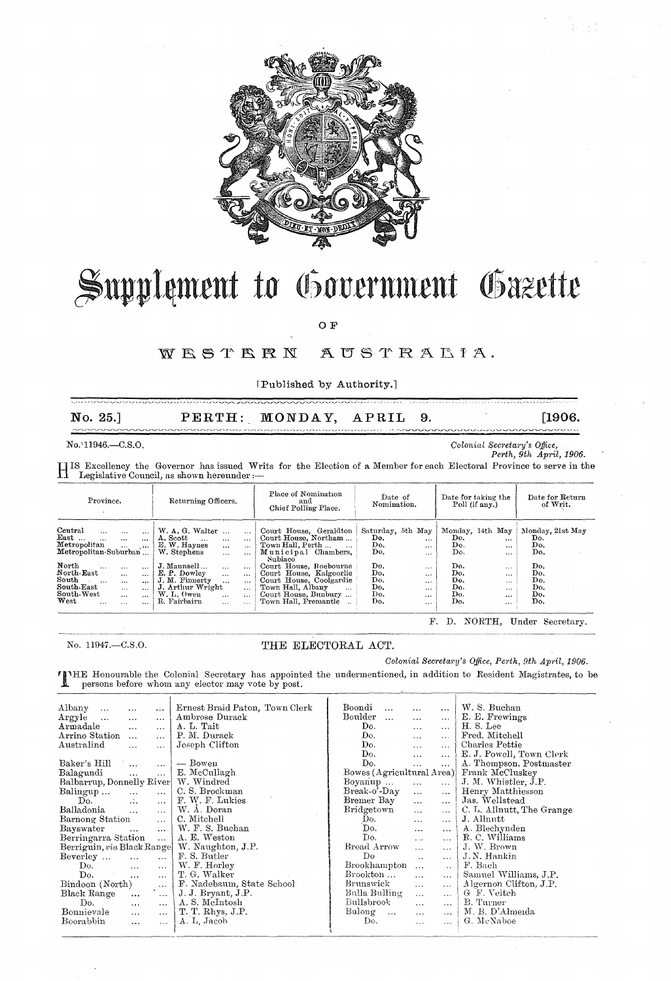

## Supplement to Government Gazette

 $\overline{O}$   $\overline{F}$ 

## WESTERN AUSTRALIA.

[Published by Authority.]

| $\bf{No.} 25.$                                                                                                                                                                                                                                                                                                                                                                                                                                                               |                                                                                                                                                                                                                                                                                                                                                                                                | PERTH: MONDAY,                                                                                                                                                                                                                                                         | APRIL<br>- 9.                                                                                                                                                                |                                                                                                                                                                     | [1906.                                                                          |
|------------------------------------------------------------------------------------------------------------------------------------------------------------------------------------------------------------------------------------------------------------------------------------------------------------------------------------------------------------------------------------------------------------------------------------------------------------------------------|------------------------------------------------------------------------------------------------------------------------------------------------------------------------------------------------------------------------------------------------------------------------------------------------------------------------------------------------------------------------------------------------|------------------------------------------------------------------------------------------------------------------------------------------------------------------------------------------------------------------------------------------------------------------------|------------------------------------------------------------------------------------------------------------------------------------------------------------------------------|---------------------------------------------------------------------------------------------------------------------------------------------------------------------|---------------------------------------------------------------------------------|
| $No.11946. - C.S.O.$                                                                                                                                                                                                                                                                                                                                                                                                                                                         | IS Excellency the Governor has issued Writs for the Election of a Member for each Electoral Province to serve in the<br>Legislative Council, as shown hereunder :-                                                                                                                                                                                                                             |                                                                                                                                                                                                                                                                        |                                                                                                                                                                              | Colonial Secretary's Office,                                                                                                                                        | Perth, 9th April, 1906.                                                         |
| Province.                                                                                                                                                                                                                                                                                                                                                                                                                                                                    | Returning Officers.                                                                                                                                                                                                                                                                                                                                                                            | Place of Nomination<br>and<br>Chief Polling Place.                                                                                                                                                                                                                     | Date of<br>Nomination.                                                                                                                                                       | Date for taking the<br>Poll (if any.)                                                                                                                               | Date for Return<br>of Writ.                                                     |
| $\footnotesize \texttt{l}$ entral<br>$\ddotsc$<br>$\cdots$<br>$\cdots$<br>Cast<br>$\cdots$<br>$\cdots$<br>$\ddotsc$<br>detropolitan<br>$\cdots$<br>fetropolitan-Suburban<br><b>Torth</b><br>٠.٠<br>$\cdots$<br>$\cdots$<br>$\overline{\text{forth-East}}$<br>$\cdots$<br>$\cdots$<br>outh.<br>$\ddotsc$<br>$\cdots$<br>$\cdots$<br>iouth East<br>$\cdots$<br>$\cdots$<br>$_{\rm{south-West}}$<br>$\cdots$<br>$\cdots$<br>$\pi_{\rm est}$<br>$\cdots$<br>$\cdots$<br>$\cdots$ | W. A. G. Walter<br>$\cdots$<br>A. Scott<br>$\dddotsc$<br>$\cdots$<br>$\cdots$<br>E. W. Haynes<br>$\cdots$<br>$\cdots$<br>W. Stephens<br>$\cdots$<br>$\cdots$<br>J. Mannsell<br>$\cdots$<br><br>E. P. Dowley<br>$\cdots$<br>$\cdots$<br>J. M. Finnerty<br>$\ddotsc$<br>$\cdots$<br>J. Arthur Wright<br>$\ddotsc$<br>W. L. Owen<br>$\ddotsc$<br>$\cdots$<br>R. Fairbairn<br>$\cdots$<br>$\cdots$ | Court House, Geraldton<br>Court House, Northam<br>Town Hall, Perth<br>Municipal Chambers,<br>Subiaco<br>Court House, Roebourne<br>Court House, Kalgoorlie<br>Court House, Coolgardie<br>Town Hall, Albany<br>$\ddotsc$<br>Court House, Bunbury<br>Town Hall, Fremantle | Saturday, 5th May<br>Do.<br>$\cdots$<br>Do.<br>$\cdots$<br>Do.<br>$\cdots$<br>Do.<br>$\cdots$<br>Do.<br>$\cdots$<br>Do.<br>$\cdots$<br>Do.<br>$\cdots$<br>Do.<br><br>Do.<br> | Monday, 14th May<br>Do.<br><br>Do.<br><br>Do.<br>$\cdots$<br>Do.<br>$\cdots$<br>Do.<br>$\cdots$<br>Do.<br>$\cdots$<br>Do.<br>$\cdots$<br>Do.<br><br>Do.<br>$\cdots$ | Monday, 21st May<br>Do.<br>Do.<br>Do.<br>Do.<br>Do.<br>Do.<br>Do.<br>Do.<br>Do. |

No. 11947 .- C.S.O.

## THE ELECTORAL ACT.

Colonial Secretary's Office, Perth, 9th April, 1906.

TIME Honourable the Colonial Secretary has appointed the undermentioned, in addition to Resident Magistrates, to be persons before whom any elector may vote by post.

| Albany<br>$\ddotsc$<br>$\cdots$<br>               | Ernest Braid Paton, Town Clerk | Boondi<br>$\cdots$               | $\cdots$      | W. S. Buchan              |
|---------------------------------------------------|--------------------------------|----------------------------------|---------------|---------------------------|
| Argyle<br>$\ldots$<br>$\cdots$<br>$\cdots$        | Ambrose Durack                 | Boulder<br>$\ldots$<br>$\cdots$  | $\cdots$      | E. E. Frewings            |
| Armadale<br>$\mathbf{r}$<br>$\cdots$              | A. L. Tait                     | Do.<br>$\cdots$                  | $\cdots$      | H.S. Lee                  |
| Arrino Station<br>$\ddotsc$<br>$\cdots$           | P. M. Durack                   | Do.<br>$\ddotsc$                 | $\cdots$      | Fred. Mitchell            |
| Australind<br>$\cdots$<br>$\cdots$                | Joseph Clifton                 | Do.<br>$\ddotsc$                 | $\cdots$      | Charles Pettie            |
|                                                   |                                | Do.<br>$\cdots$                  | $\ddotsc$     | E. J. Powell, Town Clerk  |
| Baker's Hill<br>$\ddotsc$<br>$\sim$ $\sim$ $\sim$ | — Bowen                        | Do.<br>$\cdots$                  | $\ddotsc$     | A. Thompson, Postmaster   |
| Balagundi<br>$\cdots$<br>$\cdots$                 | E. McCullagh                   | Bowes (Agricultural Area)        |               | Frank McCluskey           |
| Balbarrup, Donnelly River                         | W. Windred                     | Boyanup<br>$\cdots$              | $\cdots$      | J. M. Whistler, J.P.      |
| Balingup<br>$\ddotsc$<br>$\cdots$                 | C. S. Brockman                 | Break-o'-Day<br>$\ddotsc$        | $\cdots$      | Henry Matthiesson         |
| Do.<br>$\dddotsc$<br>$\cdots$                     | F. W. F. Lukies                | Bremer Bay<br>$\ddotsc$          | $\cdots$      | Jas. Wellstead            |
| Balladonia<br>$\ddotsc$<br>$\cdots$               | W. A. Doran                    | Bridgetown<br>$\cdots$           | $\cdots$      | C. L. Allnutt, The Grange |
| Barnong Station<br>$\ddotsc$                      | C. Mitchell                    | Do.<br>$\ddotsc$                 | $\cdots$      | J. Allnutt                |
| Bayswater<br>$\cdots$<br>$\cdots$                 | W. F. S. Buchan                | Do.<br>$\cdots$                  | $\cdots$      | A. Blechynden             |
| Berringarra Station<br>$\ddotsc$                  | A. E. Weston                   | Do.<br>$\ddotsc$                 | $\cdots$      | R. C. Williams            |
| Berriguin, via Black Range                        | W. Naughton, J.P.              | Broad Arrow<br>$\ddotsc$         | $\cdots$      | J. W. Brown               |
| Beverley<br>$\cdots$<br>$\cdots$                  | F. S. Butler                   | Do<br>$\sim$                     | $\ddotsc$     | J.N. Hankin               |
| Do.<br>$\cdots$<br>$\ldots$                       | W. F. Horley                   | Brookhampton<br>$\cdots$         | $\sim$ $\sim$ | F. Bach                   |
| Do.<br>$\cdots$<br>$\cdots$                       | T. G. Walker                   | Brookton<br>$\ddotsc$            | $\ddotsc$     | Samuel Williams, J.P.     |
| Bindoon (North)<br>$\ldots$                       | F. Nadebaum, State School      | Brunswick<br>$\mathbf{r}$        | $\cdots$      | Algernon Clifton, J.P.    |
| Black Range<br>$\sim$ $\sim$ $\sim$<br>$\cdots$   | J. J. Bryant, J.P.             | Bulla Bulling<br>$\cdots$        | $\ddotsc$     | G F. Veitch               |
| Do.<br>$\cdots$<br>$\cdots$                       | A.S. McIntosh                  | Bullsbrook<br>$\ddotsc$          | $\cdots$      | B. Turner                 |
| Bonnievale<br>$\cdots$<br>$\cdots$                | T. T. Rhys, J.P.               | Bulong<br>$\ddotsc$<br>$\ddotsc$ | $\cdots$      | M. B. D'Almeida           |
| Boorabbin<br>$\cdots$<br>$\cdots$                 | A. L. Jacob                    | Do.<br>$\cdots$                  | $\cdots$      | G. McNaboe                |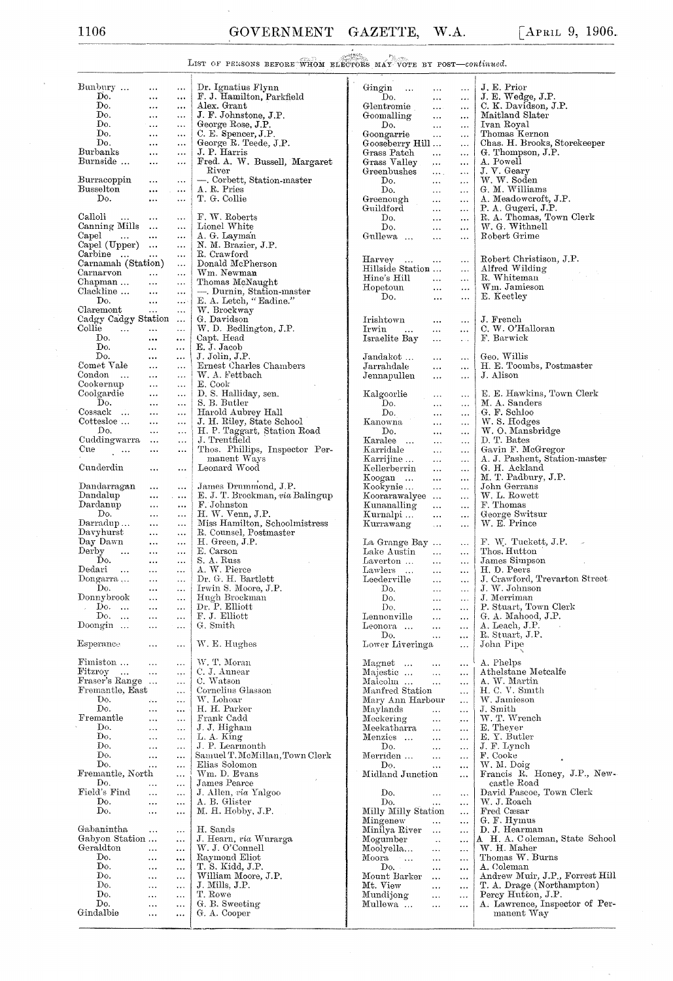## LIST OF PERSONS BEFORE WHOM ELECTORS MAY VOTE BY POST-continued.

| Bunbury                                       | $\ldots$                   |                        | Dr. Ignatius Flynn                       | Gingin<br>$\ldots$                                | $\ldots$       | J. E. Prior                                    |
|-----------------------------------------------|----------------------------|------------------------|------------------------------------------|---------------------------------------------------|----------------|------------------------------------------------|
| Do.                                           | $\cdots$                   | $\ddotsc$              | F. J. Hamilton, Parkfield                | Do.<br>$, \ldots$                                 | $\ldots$       | J. E. Wedge, J.P.                              |
| Do.                                           | $\ddots$                   | $\cdots$               | Alex. Grant                              | Glentromie<br>$\ldots$                            | $\cdots$       | C. K. Davidson, J.P.                           |
| Do.                                           | $\ldots$                   | $\cdots$               | J. F. Johnstone, J.P.                    | Goomalling<br>$\ddotsc$                           | $\ldots$       | Maitland Slater                                |
| Do.                                           | $\ddotsc$                  | $\ldots$               | George Rose, J.P.                        | Do.<br>$\ddotsc$                                  | $\ldots$       | Ivan Royal                                     |
| Do.                                           | $\ldots$                   | $\cdots$               | C. E. Spencer, J.P.                      | Goongarrie<br>$\ddotsc$                           | $\cdots$       | Thomas Kernon                                  |
| Do.                                           | $\cdots$                   | $\ldots$               | George R. Teede, J.P.                    | Gooseberry Hill                                   | $\cdots$       | Chas. H. Brooks, Storekeeper                   |
| Burbanks                                      | $\ddotsc$                  | $\ddotsc$              | J. P. Harris                             | Grass Patch<br>$\ddotsc$                          | $\ddotsc$      | G. Thompson, J.P.                              |
| Burnside                                      | $\cdots$                   | $\cdots$               | Fred. A. W. Bussell, Margaret            | Grass Valley<br>$\cdots$                          | $\ldots$       | A. Powell                                      |
|                                               |                            |                        | River                                    | Greenbushes<br>$\cdots$                           | $\ldots$       | J. V. Geary                                    |
| Burracoppin<br>Busselton                      | $\cdots$                   | $\cdots$               | - Corbett, Station-master<br>A. R. Pries | Do.<br>$\ddotsc$                                  | $\ddotsc$      | W. W. Soden                                    |
| Do.                                           | $\ddotsc$<br>$\sim$        | $\cdots$               |                                          | Do.<br>$\sim$ $\sim$                              | $\cdots$       | G. M. Williams                                 |
|                                               | $\cdots$                   | $\cdots$               | T. G. Collie                             | Greenough<br>$\ddotsc$                            | $\cdots$       | A. Meadowcroft, J.P.                           |
| Calloli                                       |                            |                        | F. W. Roberts                            | Guildford<br>$\ddotsc$                            | $\ldots$       | P. A. Gugeri, J.P.<br>R. A. Thomas, Town Clerk |
| $\sim$ 100 $\sim$ 100 $\sim$<br>Canning Mills | $\ldots$                   | $\cdots$               | Lionel White                             | Do.<br>$\ldots$                                   | $\ldots$       | W. G. Withnell                                 |
|                                               |                            | $\cdots$               |                                          | Do.<br>$\cdots$                                   | $\cdots$       |                                                |
| Capel<br><b>Section</b>                       | $\ddotsc$                  | $\ldots$               | A. G. Layman                             | Gullewa<br>$\ddotsc$                              | $\ddotsc$      | Robert Grime                                   |
| Capel (Upper)<br>Carbine                      |                            | $\cdots$               | N. M. Brazier, J.P.<br>R. Crawford       |                                                   |                |                                                |
| Carnamah (Station)                            | $\ldots$                   | $\ldots$               | Donald McPherson                         | Harvey<br>$\cdots$                                | $\ldots$       | Robert Christison, J.P.                        |
| Carnarvon                                     |                            | $\ddotsc$              | Wm. Newman                               | Hillside Station                                  | $\cdots$       | Alfred Wilding                                 |
| Chapman                                       | $\cdots$<br>$\ddotsc$      | $\ddotsc$              | Thomas McNaught                          | Hine's Hill<br>$\cdots$                           | $\ddotsc$      | R. Whiteman                                    |
| Clackline                                     | $\ldots$                   | $\ddotsc$              | - Durnin, Station-master                 | Hopetoun<br>$\ddotsc$                             | $\cdots$       | Wm. Jamieson                                   |
| Do.                                           | $\ddotsc$                  | $\ldots$               | E. A. Letch, "Eadine."                   | Do.<br>$\ddotsc$                                  | $\cdots$       | E. Keetley                                     |
| Claremont                                     | $\cdots$                   | خورو                   | W. Brockway                              |                                                   |                |                                                |
| Cadgy Cadgy Station                           |                            | $\ddotsc$              | G. Davidson                              |                                                   |                | J. French                                      |
| $_{\rm{Collie}}$<br>$\sim 100$ km s $^{-1}$   | $\ldots$                   | $\ldots$               | W.D. Bedlington, J.P.                    | Irishtown<br>$\ldots$<br>Irwin                    | $\ldots$       | C. W. O'Halloran                               |
| Do.                                           | $\ddotsc$                  | $\cdots$               | Capt. Head                               | $\cdots$<br>$\cdots$                              | $\cdots$       | F. Barwick                                     |
| Do.                                           |                            |                        | E. J. Jacob                              | Israelite Bay<br>$\cdots$                         | $\ddotsc$      |                                                |
| Do.                                           | $\cdots$<br>$\ddotsc$      | $\cdots$               | J. Jolin, J.P.                           | Jandakot                                          |                | Geo. Willis                                    |
| Comet Vale                                    | $\cdots$                   | $\ldots$               | Ernest Charles Chambers                  | $\cdots$<br>$\rm Jarrahdale$                      | $\cdots$       | H. E. Toombs, Postmaster                       |
| Condon                                        |                            | $\cdots$               | W. A. Fettbach                           | $\cdots$                                          | $\ddots$       | J. Alison                                      |
|                                               | $\ddotsc$                  | $\cdots$               |                                          | Jennapullen<br>$\ddotsc$                          | $\cdots$       |                                                |
| Cookernup<br>Coolgardie                       | $\ldots$<br>$\ddotsc$      |                        | E. Cook<br>D. S. Halliday, sen.          |                                                   |                | E. E. Hawkins, Town Clerk                      |
| Do.                                           |                            | $\ldots$               | S. B. Butler                             | Kalgoorlie<br>$\ldots$                            | $\cdots$       |                                                |
| Cossack                                       | $\cdots$                   | $\ldots$               |                                          | Do.<br>$\ldots$                                   | $\cdots$       | M. A. Sanders                                  |
|                                               | $\ldots$                   | $\ddotsc$              | Harold Aubrey Hall                       | Do.<br>$\ddotsc$                                  | $\ddotsc$      | G. F. Schloo                                   |
| Cottesloe                                     | $\ddotsc$                  | $\ddotsc$              | J. H. Riley, State School                | Kanowna<br>$\ldots$                               | .              | W. S. Hodges                                   |
| Do.                                           | $\cdots$                   | $\ldots$               | H. P. Taggart, Station Road              | Do.<br>$\ddotsc$                                  | $\ldots$       | W. O. Mansbridge                               |
| Cuddingwarra                                  | $\ddotsc$                  | $\ddotsc$              | J. Trentfield                            | Karalee<br>$\cdots$                               | $\ddots$       | D. T. Bates                                    |
| Cue<br>$\sim$ 100 $\mu$                       | $\ldots$                   | $\ddotsc$              | Thos. Phillips, Inspector Per-           | Karridale<br>$\ddotsc$                            | $\ddotsc$      | Gavin F. McGregor                              |
|                                               |                            |                        | manent Ways                              | Karrijine<br>$\sim$ $\sim$                        | $\ldots$       | A. J. Pashent, Station-master                  |
| Cunderdin                                     | $\cdots$                   | $\cdots$               | Leonard Wood                             | Kellerberrin<br>$\ddotsc$                         | $\ddotsc$      | G. H. Ackland                                  |
|                                               |                            |                        |                                          | Koogan<br>$\ddotsc$                               | $\ldots$       | M. T. Padbury, J.P.                            |
| Dandarragan<br>Dandalup                       | $\cdots$                   | $\cdots$               | James Drummond, J.P.                     | $K$ ookynie $\ldots$<br>$\ldots$                  | $\ddotsc$      | John Gerrans<br>W. L. Rowett                   |
|                                               | $\ddotsc$                  | $\sim$ 1000 $\pm$      | E. J. T. Brockman, via Balingup          | Koorarawalyee                                     | $\ddotsc$      |                                                |
| Dardanup<br>Do.                               | $\cdots$                   | $\cdots$               | F. Johnston<br>H. W. Venn, J.P.          | Kunanalling<br>$\cdots$                           | $\cdots$       | F. Thomas                                      |
| Darradup                                      | $\cdots$                   | $\cdots$               | Miss Hamilton, Schoolmistress            | Kurnalpi<br>$\sim$ $\sim$ $\sim$<br>Kurrawang     | $\ldots$       | George Switsur<br>W. E. Prince                 |
| $_{\rm{Dayburst}}$                            | $\ddotsc$                  | $\cdots$               | R. Counsel, Postmaster                   | $\ldots$                                          | $\ldots$       |                                                |
| Day Dawn                                      | $\ddotsc$<br>$\cdots$      | $\cdots$               | H. Green, J.P.                           |                                                   |                | $F. W.$ Tuckett, J.P. $\sim$                   |
| Derby<br>$\ddotsc$                            |                            | $\ddotsc$              | E. Carson                                | La Grange Bay<br>Lake Austin                      | $\ddotsc$      | Thos. Hutton                                   |
| Do.                                           | $\ldots$                   | $\cdots$               | S. A. Russ                               | $\sim 100$<br>Laverton                            | $\ddotsc$      | James Simpson                                  |
| Dedari                                        | $\cdots$                   | $\cdots$               | A. W. Pierce                             | $\cdots$<br>Lawlers                               | $\cdots$       | H. D. Peers                                    |
| $\sim$ . $\sim$<br>Dongarra                   | $\sim$ .<br>$\ddotsc$      | $\ddotsc$<br>$\ddotsc$ | Dr. G. H. Bartlett                       | $\ddotsc$<br>Leederville                          | $\ldots$       | J. Crawford, Trevarton Street                  |
| Do.                                           | $\cdots$                   | $\ddotsc$              | Irwin S. Moore, J.P.                     | $\sim$ 100 $\pm$<br>Do.                           | $\ldots$       | J. W. Johnson                                  |
| Donnybrook                                    |                            |                        | Hugh Brockman                            | $\ddotsc$                                         | $\cdots$       |                                                |
| Do.<br>$\sim$                                 | $\sim$ $\sim$              | $\cdots$               | Dr. P. Elliott                           | Do,<br>$\cdots$<br>Do.                            | $\ldots$       | J. Merriman<br>P. Stuart, Town Clerk           |
| Do.<br>$\sim$                                 | $\cdots$<br>$\ldots$       | $\ldots$<br>           | F. J. Elliott                            | $\ldots$<br>Lennonville<br>$\ddotsc$              | .<br>$\ddotsc$ | G. A. Mahood, J.P.                             |
| Doongin $\dots$                               | $\ldots$                   | $\ddotsc$              | G. Smith                                 | Leonora<br>$\ddotsc$                              |                | A. Leach, J.P.                                 |
|                                               |                            |                        |                                          | Do.                                               | $\ldots$       | R. Stuart, J.P.                                |
| Esperance                                     | $\ldots$                   |                        | W. E. Hughes                             | $\ddotsc$<br>Lower Liveringa                      | <br>$\ddotsc$  | John Pipe                                      |
|                                               |                            |                        |                                          |                                                   |                |                                                |
| Fimiston                                      | $\ddotsc$                  | .                      | W. T. Moran                              | Magnet                                            | $\ldots$       | A. Phelps                                      |
| Fitzroy                                       | $\ldots$                   | $\ldots$               | C. J. Annear                             | $\ldots$<br>Majestic<br>$\ddotsc$                 | $\ddotsc$      | Athelstane Metcalfe                            |
| Fraser's Range                                |                            | $\ldots$               | C. Watson                                | Malcolm<br>$\ddots$                               | $\ddotsc$      | A. W. Martin                                   |
| Fremantle, East                               |                            | $\ldots$               | Cornelius Glasson                        | Manfred Station                                   | $\ddotsc$      | H.C.V. Smith                                   |
| Do.                                           | $\mathcal{L}_{\text{max}}$ | $\ldots$               | W. Lohoar                                | Mary Ann Harbour                                  | $\cdots$       | W. Jamieson                                    |
| Do.                                           | $\sim$ .                   |                        | H. H. Parker                             | Maylands<br>$\ddotsc$                             |                | J. Smith                                       |
| Fremantle                                     | $\ddotsc$                  | $\ldots$               | Frank Cadd                               | Meckering<br>$\ldots$                             | $\mathbf{A}$   | W. T. Wrench                                   |
| Do.                                           | $\ldots$                   | $\ddotsc$              | J. J. Higham                             | Meekatharra<br>$\cdots$                           | $\ddotsc$      | E. Theyer                                      |
| Do.                                           | $\ldots$                   | $\ldots$               | L. A. King                               | Menzies<br>$\ldots$                               | $\cdots$       | E. Y. Butler                                   |
| Do.                                           | $\cdots$                   | $\ddotsc$              | J. P. Learmonth                          | Do.<br>$\sim$ . $\sim$                            | $\cdots$       | J. F. Lynch                                    |
| Do.                                           | $\ldots$                   |                        | Samuel T. McMillan, Town Clerk           | Merriden<br>$\sim$                                | $\cdots$       | F. Cooke                                       |
| Do.                                           | $\ddotsc$                  |                        | Elias Solomon                            | Do.<br>$\ddotsc$                                  | $\cdots$       | W. M. Doig                                     |
| Fremantle, North                              |                            | $\ddotsc$              | Wm. D. Evans                             | Midland Junction                                  | $\cdots$       | Francis R. Honey, J.P., New-                   |
| Do.                                           | $\ldots$                   | .                      | James Pearce                             |                                                   |                | castle Road                                    |
| Field's Find                                  | $\sim$ . $\sim$            |                        | J. Allen, via Yalgoo                     | Do.<br>$\ldots$                                   | $\ddotsc$      | David Pascoe, Town Clerk                       |
| Do.                                           | $\ddotsc$                  | .                      | A. B. Glister                            | Do.<br>$\ldots$                                   | $\ddotsc$      | W. J. Roach                                    |
| Do.                                           | $\ldots$                   | $\ddotsc$              | M. H. Hobby, J.P.                        | Milly Milly Station                               | $\ldots$       | Fred Cæsar                                     |
|                                               |                            |                        |                                          | Mingenew<br>$\ddotsc$                             | $\ddotsc$      | G. F. Hymus                                    |
| Gabanintha                                    | $\cdots$                   | $\ddotsc$              | H. Sands                                 | Minilya River                                     | $\ddotsc$      | D. J. Hearman                                  |
| Gabyon Station                                |                            | $\ldots$               | J. Hearn, via Wurarga                    | Mogumber<br>$\sim 100$                            | $\cdots$       | A H. A. Coleman, State School                  |
| Geraldton                                     | $\sim$ $\sim$              |                        | W. J. O'Connell                          | Moolyella<br>$\ddotsc$                            | $\cdots$       | W. H. Maher                                    |
| Do.                                           | $\ldots$                   | $\cdots$               | Raymond Eliot                            | $\operatorname{Moora}$<br>$\sim 100$<br>$\ddotsc$ | $\ddotsc$      | Thomas W. Burns                                |
| Do.                                           |                            |                        | T. S. Kidd, J.P.                         | Do.<br>$\ddotsc$                                  | $\ddotsc$      | A. Coleman                                     |
|                                               | $\ldots$                   |                        |                                          |                                                   |                |                                                |
| Do.                                           | $\ldots$                   |                        | William Moore, J.P.                      | Mount Barker $\;\;\ldots$                         | $\ddotsc$      | Andrew Muir, J.P., Forrest Hill                |
| Do.                                           | $\ldots$                   |                        | J. Mills, J.P.                           | Mt. View<br>$\ddotsc$                             | $\ddotsc$      | T. A. Drage (Northampton)                      |
| Do.                                           | $\ldots$                   | $\ddotsc$              | T. Rowe                                  | Mundijong<br>$\ddotsc$                            | $\cdots$       | Percy Hutton, J.P.                             |
| Do.                                           | $\ddotsc$                  | $\ldots$               | G. B. Sweeting                           | Mullewa<br>$\cdots$                               | $\cdots$       | A. Lawrence, Inspector of Per-                 |
| Gindalbie                                     | $\ddotsc$                  |                        | G. A. Cooper                             |                                                   |                | manent Way                                     |